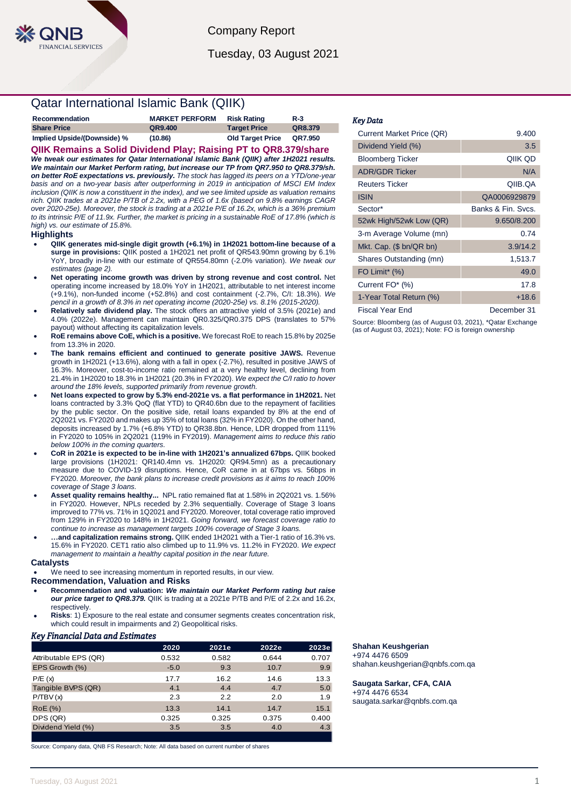Company Report Tuesday, 03 August 2021

# Qatar International Islamic Bank (QIIK)

| Recommendation              | <b>MARKET PERFORM</b> | <b>Risk Rating</b>      | <b>R-3</b> |
|-----------------------------|-----------------------|-------------------------|------------|
| <b>Share Price</b>          | QR9.400               | <b>Target Price</b>     | QR8.379    |
| Implied Upside/(Downside) % | (10.86)               | <b>Old Target Price</b> | QR7.950    |

**QIIK Remains a Solid Dividend Play; Raising PT to QR8.379/share** *We tweak our estimates for Qatar International Islamic Bank (QIIK) after 1H2021 results. We maintain our Market Perform rating, but increase our TP from QR7.950 to QR8.379/sh. on better RoE expectations vs. previously. The stock has lagged its peers on a YTD/one-year basis and on a two-year basis after outperforming in 2019 in anticipation of MSCI EM Index inclusion (QIIK is now a constituent in the index), and we see limited upside as valuation remains rich. QIIK trades at a 2021e P/TB of 2.2x, with a PEG of 1.6x (based on 9.8% earnings CAGR over 2020-25e). Moreover, the stock is trading at a 2021e P/E of 16.2x, which is a 36% premium to its intrinsic P/E of 11.9x. Further, the market is pricing in a sustainable RoE of 17.8% (which is high) vs. our estimate of 15.8%.*

## **Highlights**

- **QIIK generates mid-single digit growth (+6.1%) in 1H2021 bottom-line because of a surge in provisions:** QIIK posted a 1H2021 net profit of QR543.90mn growing by 6.1% YoY, broadly in-line with our estimate of QR554.80mn (-2.0% variation). *We tweak our estimates (page 2).*
- **Net operating income growth was driven by strong revenue and cost control.** Net operating income increased by 18.0% YoY in 1H2021, attributable to net interest income (+9.1%), non-funded income (+52.8%) and cost containment (-2.7%, C/I: 18.3%). *We pencil in a growth of 8.3% in net operating income (2020-25e) vs. 8.1% (2015-2020).*
- **Relatively safe dividend play.** The stock offers an attractive yield of 3.5% (2021e) and 4.0% (2022e). Management can maintain QR0.325/QR0.375 DPS (translates to 57% payout) without affecting its capitalization levels.
- **RoE remains above CoE, which is a positive.** We forecast RoE to reach 15.8% by 2025e from 13.3% in 2020.
- **The bank remains efficient and continued to generate positive JAWS.** Revenue growth in 1H2021 (+13.6%), along with a fall in opex (-2.7%), resulted in positive JAWS of 16.3%. Moreover, cost-to-income ratio remained at a very healthy level, declining from 21.4% in 1H2020 to 18.3% in 1H2021 (20.3% in FY2020). *We expect the C/I ratio to hover around the 18% levels, supported primarily from revenue growth.*
- **Net loans expected to grow by 5.3% end-2021e vs. a flat performance in 1H2021.** Net loans contracted by 3.3% QoQ (flat YTD) to QR40.6bn due to the repayment of facilities by the public sector. On the positive side, retail loans expanded by 8% at the end of 2Q2021 vs. FY2020 and makes up 35% of total loans (32% in FY2020). On the other hand, deposits increased by 1.7% (+6.8% YTD) to QR38.8bn. Hence, LDR dropped from 111% in FY2020 to 105% in 2Q2021 (119% in FY2019). *Management aims to reduce this ratio below 100% in the coming quarters.*
- **CoR in 2021e is expected to be in-line with 1H2021's annualized 67bps.** QIIK booked large provisions (1H2021: QR140.4mn vs. 1H2020: QR94.5mn) as a precautionary measure due to COVID-19 disruptions. Hence, CoR came in at 67bps vs. 56bps in FY2020. *Moreover, the bank plans to increase credit provisions as it aims to reach 100% coverage of Stage 3 loans.*
- **Asset quality remains healthy...** NPL ratio remained flat at 1.58% in 2Q2021 vs. 1.56% in FY2020. However, NPLs receded by 2.3% sequentially. Coverage of Stage 3 loans improved to 77% vs. 71% in 1Q2021 and FY2020. Moreover, total coverage ratio improved from 129% in FY2020 to 148% in 1H2021. *Going forward, we forecast coverage ratio to continue to increase as management targets 100% coverage of Stage 3 loans.*
- **…and capitalization remains strong.** QIIK ended 1H2021 with a Tier-1 ratio of 16.3% vs. 15.6% in FY2020. CET1 ratio also climbed up to 11.9% vs. 11.2% in FY2020. *We expect management to maintain a healthy capital position in the near future.*

### **Catalysts**

We need to see increasing momentum in reported results, in our view.

# **Recommendation, Valuation and Risks**

- **Recommendation and valuation:** *We maintain our Market Perform rating but raise our price target to QR8.379.* QIIK is trading at a 2021e P/TB and P/E of 2.2x and 16.2x, respectively.
- **Risks**: 1) Exposure to the real estate and consumer segments creates concentration risk, which could result in impairments and 2) Geopolitical risks.

# *Key Financial Data and Estimates*

|                       | 2020   | 2021e | 2022e | 2023e |
|-----------------------|--------|-------|-------|-------|
| Attributable EPS (QR) | 0.532  | 0.582 | 0.644 | 0.707 |
| EPS Growth (%)        | $-5.0$ | 9.3   | 10.7  | 9.9   |
| P/E(x)                | 17.7   | 16.2  | 14.6  | 13.3  |
| Tangible BVPS (QR)    | 4.1    | 4.4   | 4.7   | 5.0   |
| P/TBV(x)              | 2.3    | 2.2   | 2.0   | 1.9   |
| <b>RoE</b> (%)        | 13.3   | 14.1  | 14.7  | 15.1  |
| DPS (QR)              | 0.325  | 0.325 | 0.375 | 0.400 |
| Dividend Yield (%)    | 3.5    | 3.5   | 4.0   | 4.3   |
|                       |        |       |       |       |

Source: Company data, QNB FS Research; Note: All data based on current number of shares

### *Key Data*

ī

| Current Market Price (QR)    | 9.400              |
|------------------------------|--------------------|
| Dividend Yield (%)           | 3.5                |
| <b>Bloomberg Ticker</b>      | QIIK OD            |
| <b>ADR/GDR Ticker</b>        | N/A                |
| <b>Reuters Ticker</b>        | QIIB.QA            |
| <b>ISIN</b>                  | QA0006929879       |
| Sector*                      | Banks & Fin. Sycs. |
| 52wk High/52wk Low (QR)      | 9.650/8.200        |
| 3-m Average Volume (mn)      | 0.74               |
| Mkt. Cap. (\$ bn/QR bn)      | 3.9/14.2           |
| Shares Outstanding (mn)      | 1,513.7            |
| FO Limit <sup>*</sup> $(\%)$ | 49.0               |
| Current FO* (%)              | 17.8               |
| 1-Year Total Return (%)      | +18.6              |
| Fiscal Year End              | December 31        |

Source: Bloomberg (as of August 03, 2021), \*Qatar Exchange (as of August 03, 2021); Note: FO is foreign ownership

# **Shahan Keushgerian**

+974 4476 6509 shahan.keushgerian@qnbfs.com.qa

**Saugata Sarkar, CFA, CAIA** +974 4476 6534 saugata.sarkar@qnbfs.com.qa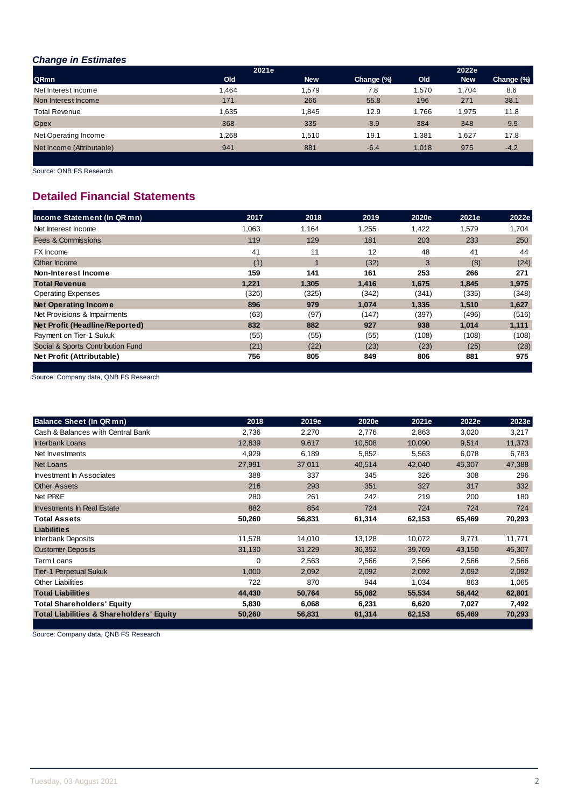# *Change in Estimates*

|                           | 2021e |            |            |       | 2022e      |            |
|---------------------------|-------|------------|------------|-------|------------|------------|
| QRmn                      | Old   | <b>New</b> | Change (%) | Old   | <b>New</b> | Change (%) |
| Net Interest Income       | 1.464 | 1.579      | 7.8        | 1,570 | 1.704      | 8.6        |
| Non Interest Income       | 171   | 266        | 55.8       | 196   | 271        | 38.1       |
| <b>Total Revenue</b>      | 1,635 | 1.845      | 12.9       | 1.766 | 1,975      | 11.8       |
| Opex                      | 368   | 335        | $-8.9$     | 384   | 348        | $-9.5$     |
| Net Operating Income      | 1.268 | 1.510      | 19.1       | 1.381 | 1,627      | 17.8       |
| Net Income (Attributable) | 941   | 881        | $-6.4$     | 1.018 | 975        | $-4.2$     |
|                           |       |            |            |       |            |            |

Source: QNB FS Research

# **Detailed Financial Statements**

| Income Statement (In QR mn)       | 2017  | 2018        | 2019  | 2020e | 2021e | 2022e |
|-----------------------------------|-------|-------------|-------|-------|-------|-------|
| Net Interest Income               | 1,063 | 1.164       | 1,255 | 1,422 | 1,579 | 1,704 |
| <b>Fees &amp; Commissions</b>     | 119   | 129         | 181   | 203   | 233   | 250   |
| FX Income                         | 41    | 11          | 12    | 48    | 41    | 44    |
| Other Income                      | (1)   | $\mathbf 1$ | (32)  | 3     | (8)   | (24)  |
| Non-Interest Income               | 159   | 141         | 161   | 253   | 266   | 271   |
| <b>Total Revenue</b>              | 1,221 | 1,305       | 1.416 | 1,675 | 1,845 | 1,975 |
| <b>Operating Expenses</b>         | (326) | (325)       | (342) | (341) | (335) | (348) |
| <b>Net Operating Income</b>       | 896   | 979         | 1.074 | 1,335 | 1,510 | 1,627 |
| Net Provisions & Impairments      | (63)  | (97)        | (147) | (397) | (496) | (516) |
| Net Profit (Headline/Reported)    | 832   | 882         | 927   | 938   | 1,014 | 1,111 |
| Payment on Tier-1 Sukuk           | (55)  | (55)        | (55)  | (108) | (108) | (108) |
| Social & Sports Contribution Fund | (21)  | (22)        | (23)  | (23)  | (25)  | (28)  |
| Net Profit (Attributable)         | 756   | 805         | 849   | 806   | 881   | 975   |
|                                   |       |             |       |       |       |       |

Source: Company data, QNB FS Research

| <b>Balance Sheet (In QR mn)</b>                     | 2018     | 2019e  | 2020e  | 2021e  | 2022e  | 2023e  |
|-----------------------------------------------------|----------|--------|--------|--------|--------|--------|
| Cash & Balances with Central Bank                   | 2,736    | 2,270  | 2,776  | 2,863  | 3,020  | 3,217  |
| <b>Interbank Loans</b>                              | 12,839   | 9,617  | 10,508 | 10,090 | 9,514  | 11,373 |
| Net Investments                                     | 4,929    | 6,189  | 5,852  | 5,563  | 6,078  | 6,783  |
| <b>Net Loans</b>                                    | 27,991   | 37,011 | 40,514 | 42,040 | 45,307 | 47,388 |
| Investment In Associates                            | 388      | 337    | 345    | 326    | 308    | 296    |
| <b>Other Assets</b>                                 | 216      | 293    | 351    | 327    | 317    | 332    |
| Net PP&E                                            | 280      | 261    | 242    | 219    | 200    | 180    |
| Investments In Real Estate                          | 882      | 854    | 724    | 724    | 724    | 724    |
| Total Assets                                        | 50,260   | 56,831 | 61,314 | 62,153 | 65,469 | 70,293 |
| <b>Liabilities</b>                                  |          |        |        |        |        |        |
| <b>Interbank Deposits</b>                           | 11,578   | 14,010 | 13,128 | 10,072 | 9,771  | 11,771 |
| <b>Customer Deposits</b>                            | 31,130   | 31,229 | 36,352 | 39,769 | 43,150 | 45,307 |
| Term Loans                                          | $\Omega$ | 2,563  | 2,566  | 2,566  | 2,566  | 2,566  |
| <b>Tier-1 Perpetual Sukuk</b>                       | 1,000    | 2,092  | 2,092  | 2,092  | 2,092  | 2,092  |
| <b>Other Liabilities</b>                            | 722      | 870    | 944    | 1,034  | 863    | 1,065  |
| <b>Total Liabilities</b>                            | 44,430   | 50,764 | 55,082 | 55,534 | 58,442 | 62,801 |
| Total Shareholders' Equity                          | 5,830    | 6,068  | 6,231  | 6,620  | 7,027  | 7,492  |
| <b>Total Liabilities &amp; Shareholders' Equity</b> | 50,260   | 56,831 | 61,314 | 62,153 | 65,469 | 70,293 |
|                                                     |          |        |        |        |        |        |

Source: Company data, QNB FS Research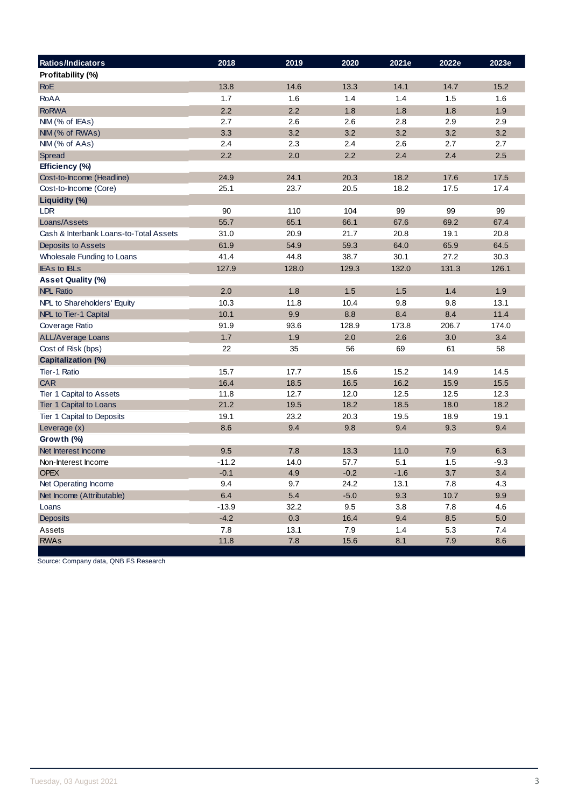| Ratios/Indicators                      | 2018    | 2019  | 2020   | 2021e  | 2022e | 2023e  |
|----------------------------------------|---------|-------|--------|--------|-------|--------|
| Profitability (%)                      |         |       |        |        |       |        |
| <b>RoE</b>                             | 13.8    | 14.6  | 13.3   | 14.1   | 14.7  | 15.2   |
| <b>RoAA</b>                            | 1.7     | 1.6   | 1.4    | 1.4    | 1.5   | 1.6    |
| <b>RoRWA</b>                           | 2.2     | 2.2   | 1.8    | 1.8    | 1.8   | 1.9    |
| $NIM$ (% of IEAs)                      | 2.7     | 2.6   | 2.6    | 2.8    | 2.9   | 2.9    |
| NIM (% of RWAs)                        | 3.3     | 3.2   | 3.2    | 3.2    | 3.2   | 3.2    |
| NIM (% of AAs)                         | 2.4     | 2.3   | 2.4    | 2.6    | 2.7   | 2.7    |
| Spread                                 | 2.2     | 2.0   | 2.2    | 2.4    | 2.4   | 2.5    |
| Efficiency (%)                         |         |       |        |        |       |        |
| Cost-to-Income (Headline)              | 24.9    | 24.1  | 20.3   | 18.2   | 17.6  | 17.5   |
| Cost-to-Income (Core)                  | 25.1    | 23.7  | 20.5   | 18.2   | 17.5  | 17.4   |
| Liquidity (%)                          |         |       |        |        |       |        |
| <b>LDR</b>                             | 90      | 110   | 104    | 99     | 99    | 99     |
| Loans/Assets                           | 55.7    | 65.1  | 66.1   | 67.6   | 69.2  | 67.4   |
| Cash & Interbank Loans-to-Total Assets | 31.0    | 20.9  | 21.7   | 20.8   | 19.1  | 20.8   |
| Deposits to Assets                     | 61.9    | 54.9  | 59.3   | 64.0   | 65.9  | 64.5   |
| Wholesale Funding to Loans             | 41.4    | 44.8  | 38.7   | 30.1   | 27.2  | 30.3   |
| <b>IEAs to IBLs</b>                    | 127.9   | 128.0 | 129.3  | 132.0  | 131.3 | 126.1  |
| <b>Asset Quality (%)</b>               |         |       |        |        |       |        |
| <b>NPL Ratio</b>                       | 2.0     | 1.8   | 1.5    | 1.5    | 1.4   | 1.9    |
| NPL to Shareholders' Equity            | 10.3    | 11.8  | 10.4   | 9.8    | 9.8   | 13.1   |
| NPL to Tier-1 Capital                  | 10.1    | 9.9   | 8.8    | 8.4    | 8.4   | 11.4   |
| Coverage Ratio                         | 91.9    | 93.6  | 128.9  | 173.8  | 206.7 | 174.0  |
| <b>ALL/Average Loans</b>               | 1.7     | 1.9   | 2.0    | 2.6    | 3.0   | 3.4    |
| Cost of Risk (bps)                     | 22      | 35    | 56     | 69     | 61    | 58     |
| <b>Capitalization (%)</b>              |         |       |        |        |       |        |
| Tier-1 Ratio                           | 15.7    | 17.7  | 15.6   | 15.2   | 14.9  | 14.5   |
| <b>CAR</b>                             | 16.4    | 18.5  | 16.5   | 16.2   | 15.9  | 15.5   |
| Tier 1 Capital to Assets               | 11.8    | 12.7  | 12.0   | 12.5   | 12.5  | 12.3   |
| Tier 1 Capital to Loans                | 21.2    | 19.5  | 18.2   | 18.5   | 18.0  | 18.2   |
| Tier 1 Capital to Deposits             | 19.1    | 23.2  | 20.3   | 19.5   | 18.9  | 19.1   |
| Leverage (x)                           | 8.6     | 9.4   | 9.8    | 9.4    | 9.3   | 9.4    |
| Growth $(\%)$                          |         |       |        |        |       |        |
| Net Interest Income                    | 9.5     | 7.8   | 13.3   | 11.0   | 7.9   | 6.3    |
| Non-Interest Income                    | $-11.2$ | 14.0  | 57.7   | 5.1    | 1.5   | $-9.3$ |
| <b>OPEX</b>                            | $-0.1$  | 4.9   | $-0.2$ | $-1.6$ | 3.7   | 3.4    |
| Net Operating Income                   | 9.4     | 9.7   | 24.2   | 13.1   | 7.8   | 4.3    |
| Net Income (Attributable)              | 6.4     | 5.4   | $-5.0$ | 9.3    | 10.7  | 9.9    |
| Loans                                  | $-13.9$ | 32.2  | 9.5    | 3.8    | 7.8   | 4.6    |
| Deposits                               | $-4.2$  | 0.3   | 16.4   | 9.4    | 8.5   | 5.0    |
| Assets                                 | 7.8     | 13.1  | 7.9    | 1.4    | 5.3   | 7.4    |
| <b>RWAs</b>                            | 11.8    | 7.8   | 15.6   | 8.1    | 7.9   | 8.6    |

Source: Company data, QNB FS Research